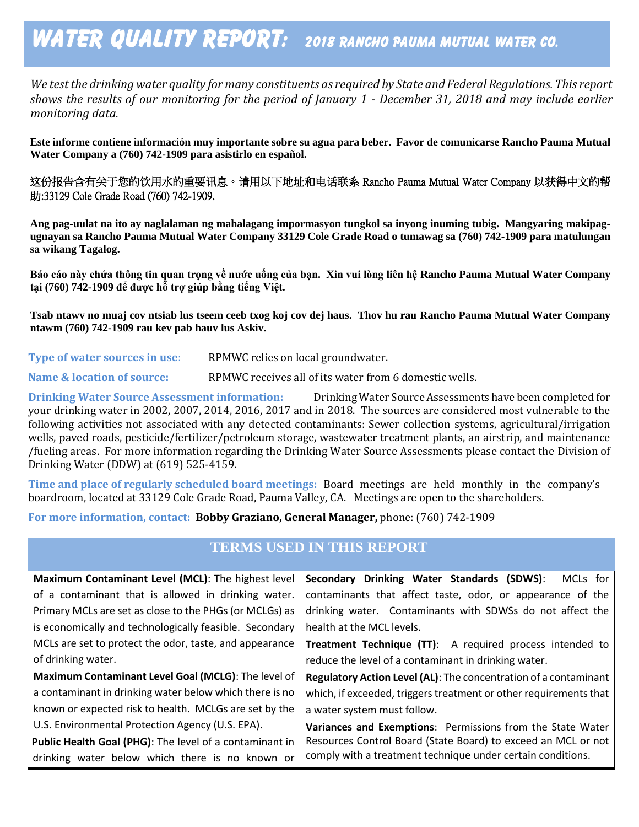# WATER QUALITY REPORT: 2018 RANCHO PAUMA MUTUAL WATER CO.

*We test the drinking water quality for many constituents as required by State and Federal Regulations. This report shows the results of our monitoring for the period of January 1 - December 31, 2018 and may include earlier monitoring data.*

**Este informe contiene información muy importante sobre su agua para beber. Favor de comunicarse Rancho Pauma Mutual Water Company a (760) 742-1909 para asistirlo en español.**

这份报告含有关于您的饮用水的重要讯息。请用以下地址和电话联系 Rancho Pauma Mutual Water Company 以获得中文的帮 助:33129 Cole Grade Road (760) 742-1909.

**Ang pag-uulat na ito ay naglalaman ng mahalagang impormasyon tungkol sa inyong inuming tubig. Mangyaring makipagugnayan sa Rancho Pauma Mutual Water Company 33129 Cole Grade Road o tumawag sa (760) 742-1909 para matulungan sa wikang Tagalog.**

**Báo cáo này chứa thông tin quan trọng về nước uống của bạn. Xin vui lòng liên hệ Rancho Pauma Mutual Water Company tại (760) 742-1909 để được hỗ trợ giúp bằng tiếng Việt.**

**Tsab ntawv no muaj cov ntsiab lus tseem ceeb txog koj cov dej haus. Thov hu rau Rancho Pauma Mutual Water Company ntawm (760) 742-1909 rau kev pab hauv lus Askiv.**

**Type of water sources in use:** RPMWC relies on local groundwater.

**Name & location of source:** RPMWC receives all of its water from 6 domestic wells.

**Drinking Water Source Assessment information:** Drinking Water Source Assessments have been completed for your drinking water in 2002, 2007, 2014, 2016, 2017 and in 2018. The sources are considered most vulnerable to the following activities not associated with any detected contaminants: Sewer collection systems, agricultural/irrigation wells, paved roads, pesticide/fertilizer/petroleum storage, wastewater treatment plants, an airstrip, and maintenance /fueling areas. For more information regarding the Drinking Water Source Assessments please contact the Division of Drinking Water (DDW) at (619) 525-4159.

**Time and place of regularly scheduled board meetings:** Board meetings are held monthly in the company's boardroom, located at 33129 Cole Grade Road, Pauma Valley, CA. Meetings are open to the shareholders.

**For more information, contact: Bobby Graziano, General Manager,** phone: (760) 742-1909

#### **TERMS USED IN THIS REPORT**

**Maximum Contaminant Level (MCL)**: The highest level of a contaminant that is allowed in drinking water. Primary MCLs are set as close to the PHGs (or MCLGs) as is economically and technologically feasible. Secondary MCLs are set to protect the odor, taste, and appearance of drinking water.

**Maximum Contaminant Level Goal (MCLG)**: The level of a contaminant in drinking water below which there is no known or expected risk to health. MCLGs are set by the U.S. Environmental Protection Agency (U.S. EPA).

**Public Health Goal (PHG)**: The level of a contaminant in drinking water below which there is no known or

**Secondary Drinking Water Standards (SDWS)**:MCLs for contaminants that affect taste, odor, or appearance of the drinking water. Contaminants with SDWSs do not affect the health at the MCL levels.

**Treatment Technique (TT)**: A required process intended to reduce the level of a contaminant in drinking water.

**Regulatory Action Level (AL)**: The concentration of a contaminant which, if exceeded, triggers treatment or other requirements that a water system must follow.

**Variances and Exemptions**: Permissions from the State Water Resources Control Board (State Board) to exceed an MCL or not comply with a treatment technique under certain conditions.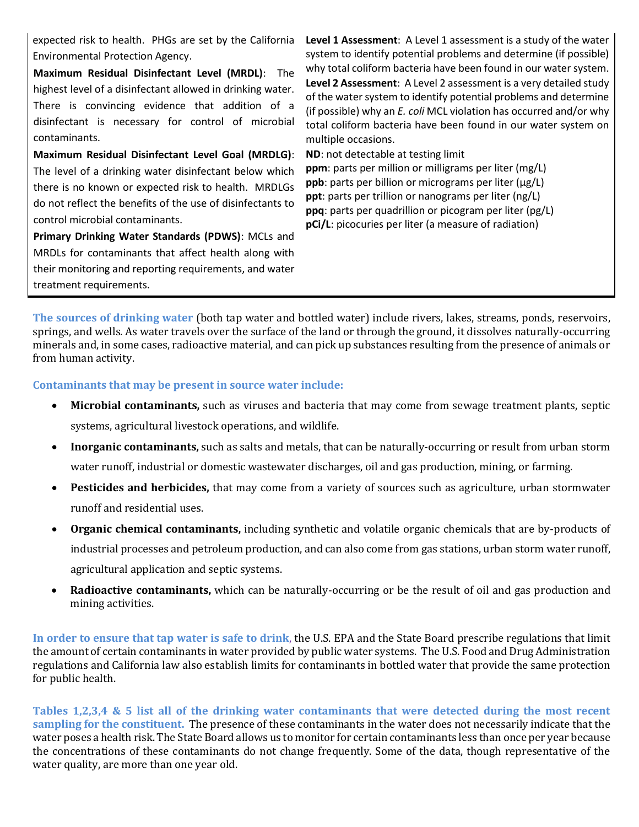expected risk to health. PHGs are set by the California Environmental Protection Agency.

**Maximum Residual Disinfectant Level (MRDL)**: The highest level of a disinfectant allowed in drinking water. There is convincing evidence that addition of a disinfectant is necessary for control of microbial contaminants.

**Maximum Residual Disinfectant Level Goal (MRDLG)**: The level of a drinking water disinfectant below which there is no known or expected risk to health. MRDLGs do not reflect the benefits of the use of disinfectants to control microbial contaminants.

**Primary Drinking Water Standards (PDWS)**: MCLs and MRDLs for contaminants that affect health along with their monitoring and reporting requirements, and water treatment requirements.

Level 1 Assessment: A Level 1 assessment is a study of the water system to identify potential problems and determine (if possible) why total coliform bacteria have been found in our water system. **Level 2 Assessment**: A Level 2 assessment is a very detailed study of the water system to identify potential problems and determine (if possible) why an *E. coli* MCL violation has occurred and/or why total coliform bacteria have been found in our water system on multiple occasions.

**ND**: not detectable at testing limit **ppm**: parts per million or milligrams per liter (mg/L) **ppb**: parts per billion or micrograms per liter (μg/L) **ppt**: parts per trillion or nanograms per liter (ng/L) **ppq**: parts per quadrillion or picogram per liter (pg/L) **pCi/L**: picocuries per liter (a measure of radiation)

**The sources of drinking water** (both tap water and bottled water) include rivers, lakes, streams, ponds, reservoirs, springs, and wells. As water travels over the surface of the land or through the ground, it dissolves naturally-occurring minerals and, in some cases, radioactive material, and can pick up substances resulting from the presence of animals or from human activity.

**Contaminants that may be present in source water include:** 

- **Microbial contaminants,** such as viruses and bacteria that may come from sewage treatment plants, septic systems, agricultural livestock operations, and wildlife.
- **Inorganic contaminants,** such as salts and metals, that can be naturally-occurring or result from urban storm water runoff, industrial or domestic wastewater discharges, oil and gas production, mining, or farming.
- **Pesticides and herbicides,** that may come from a variety of sources such as agriculture, urban stormwater runoff and residential uses.
- **Organic chemical contaminants,** including synthetic and volatile organic chemicals that are by-products of industrial processes and petroleum production, and can also come from gas stations, urban storm water runoff, agricultural application and septic systems.
- **Radioactive contaminants,** which can be naturally-occurring or be the result of oil and gas production and mining activities.

**In order to ensure that tap water is safe to drink**, the U.S. EPA and the State Board prescribe regulations that limit the amount of certain contaminants in water provided by public water systems. The U.S. Food and Drug Administration regulations and California law also establish limits for contaminants in bottled water that provide the same protection for public health.

**Tables 1,2,3,4 & 5 list all of the drinking water contaminants that were detected during the most recent sampling for the constituent.** The presence of these contaminants in the water does not necessarily indicate that the water poses a health risk. The State Board allows us to monitor for certain contaminants less than once per year because the concentrations of these contaminants do not change frequently. Some of the data, though representative of the water quality, are more than one year old.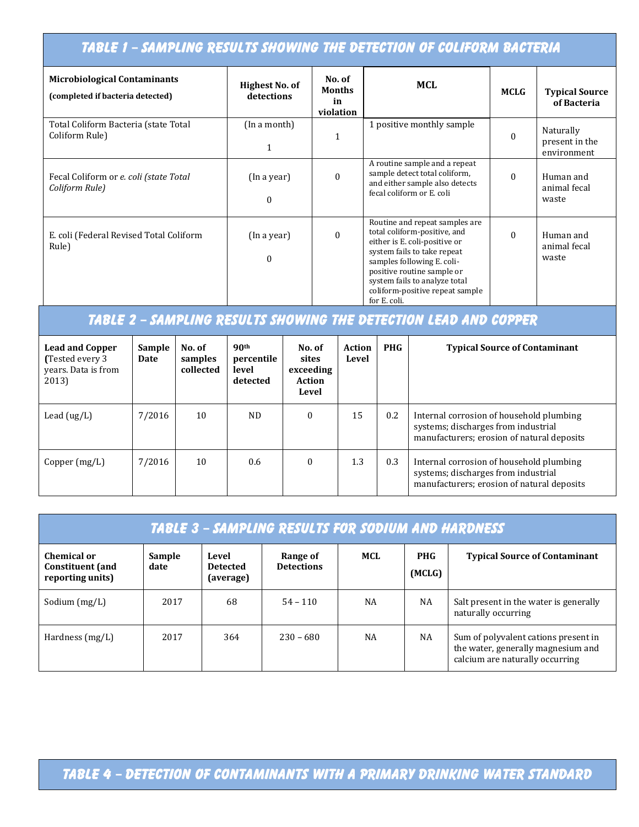# TABLE 1 – SAMPLING RESULTS SHOWING THE DETECTION OF COLIFORM BACTERIA

| <b>Microbiological Contaminants</b><br>(completed if bacteria detected) | <b>Highest No. of</b><br>detections | No. of<br><b>Months</b><br>in<br>violation | <b>MCL</b>                                                                                                                                                                                                                                                                      | <b>MCLG</b> | <b>Typical Source</b><br>of Bacteria       |
|-------------------------------------------------------------------------|-------------------------------------|--------------------------------------------|---------------------------------------------------------------------------------------------------------------------------------------------------------------------------------------------------------------------------------------------------------------------------------|-------------|--------------------------------------------|
| Total Coliform Bacteria (state Total<br>Coliform Rule)                  | (In a month)                        | 1                                          | 1 positive monthly sample                                                                                                                                                                                                                                                       | $\theta$    | Naturally<br>present in the<br>environment |
| Fecal Coliform or e. coli (state Total<br>Coliform Rule)                | (In a year)<br>$\theta$             | $\theta$                                   | A routine sample and a repeat<br>sample detect total coliform,<br>and either sample also detects<br>fecal coliform or E. coli                                                                                                                                                   | $\Omega$    | Human and<br>animal fecal<br>waste         |
| E. coli (Federal Revised Total Coliform<br>Rule)                        | (In a year)<br>$\theta$             | $\Omega$                                   | Routine and repeat samples are.<br>total coliform-positive, and<br>either is E. coli-positive or<br>system fails to take repeat<br>samples following E. coli-<br>positive routine sample or<br>system fails to analyze total<br>coliform-positive repeat sample<br>for E. coli. | $\Omega$    | Human and<br>animal fecal<br>waste         |

# TABLE 2 – SAMPLING RESULTS SHOWING THE DETECTION LEAD AND COPPER

| <b>Lead and Copper</b><br>(Tested every 3)<br>years. Data is from<br>2013) | Sample<br>Date | No. of<br>samples<br>collected | 90 <sup>th</sup><br>percentile<br>level<br>detected | No. of<br>sites<br>exceeding<br>Action<br>Level | <b>Action</b><br>Level | <b>PHG</b> | <b>Typical Source of Contaminant</b>                                                                                          |
|----------------------------------------------------------------------------|----------------|--------------------------------|-----------------------------------------------------|-------------------------------------------------|------------------------|------------|-------------------------------------------------------------------------------------------------------------------------------|
| Lead $(ug/L)$                                                              | 7/2016         | 10                             | ND.                                                 | $\theta$                                        | 15                     | 0.2        | Internal corrosion of household plumbing<br>systems; discharges from industrial<br>manufacturers; erosion of natural deposits |
| Copper $(mg/L)$                                                            | 7/2016         | 10                             | 0.6                                                 | $\theta$                                        | 1.3                    | 0.3        | Internal corrosion of household plumbing<br>systems; discharges from industrial<br>manufacturers; erosion of natural deposits |

| TABLE 3 - SAMPLING RESULTS FOR SODIUM AND HARDNESS         |                |                                       |                               |           |                      |                                                                                                               |  |  |
|------------------------------------------------------------|----------------|---------------------------------------|-------------------------------|-----------|----------------------|---------------------------------------------------------------------------------------------------------------|--|--|
| Chemical or<br><b>Constituent</b> (and<br>reporting units) | Sample<br>date | Level<br><b>Detected</b><br>(average) | Range of<br><b>Detections</b> | MCL       | <b>PHG</b><br>(MCLG) | <b>Typical Source of Contaminant</b>                                                                          |  |  |
| Sodium $(mg/L)$                                            | 2017           | 68                                    | $54 - 110$                    | NA        | NA                   | Salt present in the water is generally<br>naturally occurring                                                 |  |  |
| Hardness $(mg/L)$                                          | 2017           | 364                                   | $230 - 680$                   | <b>NA</b> | NA                   | Sum of polyvalent cations present in<br>the water, generally magnesium and<br>calcium are naturally occurring |  |  |

TABLE 4 – DETECTION OF CONTAMINANTS WITH A PRIMARY DRINKING WATER STANDARD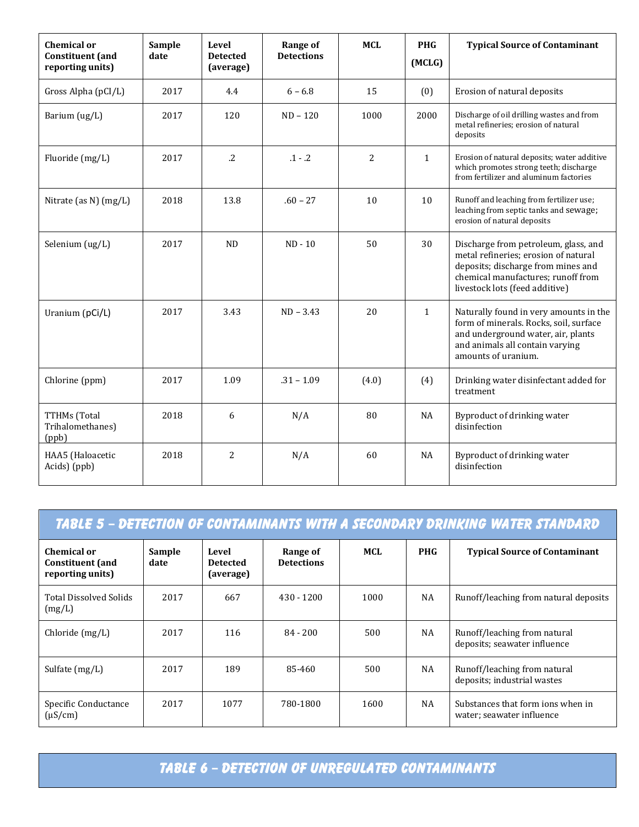| <b>Chemical or</b><br><b>Constituent</b> (and<br>reporting units) | Sample<br>date | Level<br><b>Detected</b><br>(average) | Range of<br><b>Detections</b> | <b>MCL</b>      | <b>PHG</b><br>(MCLG) | <b>Typical Source of Contaminant</b>                                                                                                                                                       |
|-------------------------------------------------------------------|----------------|---------------------------------------|-------------------------------|-----------------|----------------------|--------------------------------------------------------------------------------------------------------------------------------------------------------------------------------------------|
| Gross Alpha (pCI/L)                                               | 2017           | 4.4                                   | $6 - 6.8$                     | 15              | (0)                  | Erosion of natural deposits                                                                                                                                                                |
| Barium (ug/L)                                                     | 2017           | 120                                   | $ND - 120$                    | 1000            | 2000                 | Discharge of oil drilling wastes and from<br>metal refineries; erosion of natural<br>deposits                                                                                              |
| Fluoride (mg/L)                                                   | 2017           | $\cdot$ .2                            | $.1 - .2$                     | $\overline{2}$  | $\mathbf{1}$         | Erosion of natural deposits; water additive<br>which promotes strong teeth; discharge<br>from fertilizer and aluminum factories                                                            |
| Nitrate (as N) (mg/L)                                             | 2018           | 13.8                                  | $.60 - 27$                    | 10 <sup>1</sup> | 10                   | Runoff and leaching from fertilizer use;<br>leaching from septic tanks and sewage;<br>erosion of natural deposits                                                                          |
| Selenium (ug/L)                                                   | 2017           | ND                                    | $ND - 10$                     | 50              | 30                   | Discharge from petroleum, glass, and<br>metal refineries; erosion of natural<br>deposits; discharge from mines and<br>chemical manufactures; runoff from<br>livestock lots (feed additive) |
| Uranium (pCi/L)                                                   | 2017           | 3.43                                  | $ND - 3.43$                   | 20              | $\mathbf{1}$         | Naturally found in very amounts in the<br>form of minerals. Rocks, soil, surface<br>and underground water, air, plants<br>and animals all contain varying<br>amounts of uranium.           |
| Chlorine (ppm)                                                    | 2017           | 1.09                                  | $.31 - 1.09$                  | (4.0)           | (4)                  | Drinking water disinfectant added for<br>treatment                                                                                                                                         |
| TTHMs (Total<br>Trihalomethanes)<br>(ppb)                         | 2018           | 6                                     | N/A                           | 80              | <b>NA</b>            | Byproduct of drinking water<br>disinfection                                                                                                                                                |
| HAA5 (Haloacetic<br>Acids) (ppb)                                  | 2018           | 2                                     | N/A                           | 60              | <b>NA</b>            | Byproduct of drinking water<br>disinfection                                                                                                                                                |

| <u> TABLE 5 - DETECTION OF CONTAMINANTS WITH A SECONDARY DRINKING WATER STANDARD</u> |                |                                       |                               |      |            |                                                                |  |  |
|--------------------------------------------------------------------------------------|----------------|---------------------------------------|-------------------------------|------|------------|----------------------------------------------------------------|--|--|
| Chemical or<br><b>Constituent</b> (and<br>reporting units)                           | Sample<br>date | Level<br><b>Detected</b><br>(average) | Range of<br><b>Detections</b> | MCL  | <b>PHG</b> | <b>Typical Source of Contaminant</b>                           |  |  |
| <b>Total Dissolved Solids</b><br>(mg/L)                                              | 2017           | 667                                   | $430 - 1200$                  | 1000 | NA         | Runoff/leaching from natural deposits                          |  |  |
| Chloride $(mg/L)$                                                                    | 2017           | 116                                   | $84 - 200$                    | 500  | NA         | Runoff/leaching from natural<br>deposits; seawater influence   |  |  |
| Sulfate $(mg/L)$                                                                     | 2017           | 189                                   | 85-460                        | 500  | NA         | Runoff/leaching from natural<br>deposits; industrial wastes    |  |  |
| Specific Conductance<br>$(\mu S/cm)$                                                 | 2017           | 1077                                  | 780-1800                      | 1600 | NA         | Substances that form jons when in<br>water; seawater influence |  |  |

TABLE 6 – Detection of unregulated contaminants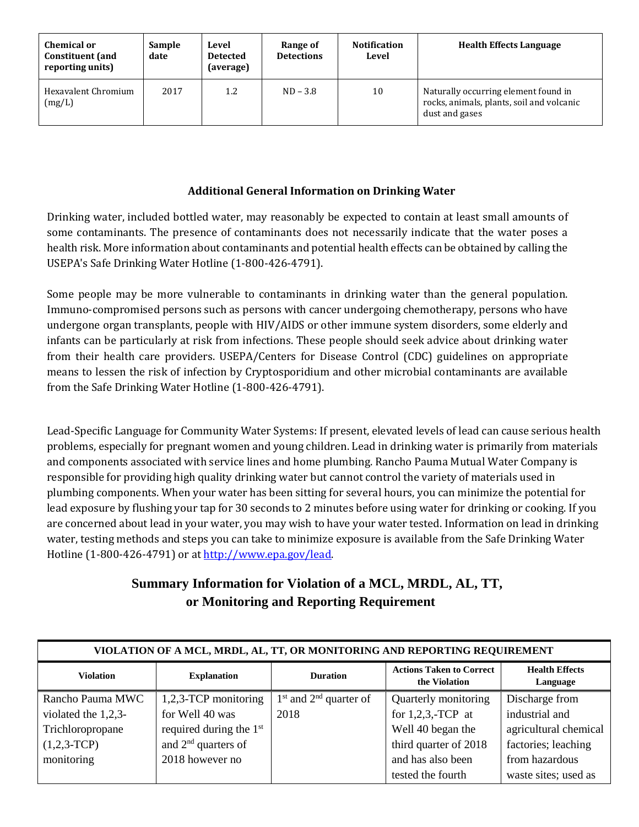| <b>Chemical or</b><br><b>Constituent</b> (and<br>reporting units) | <b>Sample</b><br>date | Level<br><b>Detected</b><br>(average) | Range of<br><b>Detections</b> | <b>Notification</b><br>Level | <b>Health Effects Language</b>                                                                      |
|-------------------------------------------------------------------|-----------------------|---------------------------------------|-------------------------------|------------------------------|-----------------------------------------------------------------------------------------------------|
| Hexavalent Chromium<br>(mg/L)                                     | 2017                  | 1.2                                   | $ND - 3.8$                    | 10                           | Naturally occurring element found in<br>rocks, animals, plants, soil and volcanic<br>dust and gases |

#### **Additional General Information on Drinking Water**

Drinking water, included bottled water, may reasonably be expected to contain at least small amounts of some contaminants. The presence of contaminants does not necessarily indicate that the water poses a health risk. More information about contaminants and potential health effects can be obtained by calling the USEPA's Safe Drinking Water Hotline (1-800-426-4791).

Some people may be more vulnerable to contaminants in drinking water than the general population. Immuno-compromised persons such as persons with cancer undergoing chemotherapy, persons who have undergone organ transplants, people with HIV/AIDS or other immune system disorders, some elderly and infants can be particularly at risk from infections. These people should seek advice about drinking water from their health care providers. USEPA/Centers for Disease Control (CDC) guidelines on appropriate means to lessen the risk of infection by Cryptosporidium and other microbial contaminants are available from the Safe Drinking Water Hotline (1-800-426-4791).

Lead-Specific Language for Community Water Systems: If present, elevated levels of lead can cause serious health problems, especially for pregnant women and young children. Lead in drinking water is primarily from materials and components associated with service lines and home plumbing. Rancho Pauma Mutual Water Company is responsible for providing high quality drinking water but cannot control the variety of materials used in plumbing components. When your water has been sitting for several hours, you can minimize the potential for lead exposure by flushing your tap for 30 seconds to 2 minutes before using water for drinking or cooking. If you are concerned about lead in your water, you may wish to have your water tested. Information on lead in drinking water, testing methods and steps you can take to minimize exposure is available from the Safe Drinking Water Hotline (1-800-426-4791) or at [http://www.epa.gov/lead.](http://www.epa.gov/lead)

### **Summary Information for Violation of a MCL, MRDL, AL, TT, or Monitoring and Reporting Requirement**

| VIOLATION OF A MCL, MRDL, AL, TT, OR MONITORING AND REPORTING REQUIREMENT |                           |                            |                                                  |                                   |  |  |  |
|---------------------------------------------------------------------------|---------------------------|----------------------------|--------------------------------------------------|-----------------------------------|--|--|--|
| <b>Violation</b>                                                          | <b>Explanation</b>        | <b>Duration</b>            | <b>Actions Taken to Correct</b><br>the Violation | <b>Health Effects</b><br>Language |  |  |  |
| Rancho Pauma MWC                                                          | 1,2,3-TCP monitoring      | $1st$ and $2nd$ quarter of | Quarterly monitoring                             | Discharge from                    |  |  |  |
| violated the 1,2,3-                                                       | for Well 40 was           | 2018                       | for $1,2,3$ ,-TCP at                             | industrial and                    |  |  |  |
| Trichloropropane                                                          | required during the $1st$ |                            | Well 40 began the                                | agricultural chemical             |  |  |  |
| $(1,2,3-TCP)$                                                             | and $2nd$ quarters of     |                            | third quarter of 2018                            | factories; leaching               |  |  |  |
| monitoring                                                                | 2018 however no           |                            | and has also been                                | from hazardous                    |  |  |  |
|                                                                           |                           |                            | tested the fourth                                | waste sites; used as              |  |  |  |